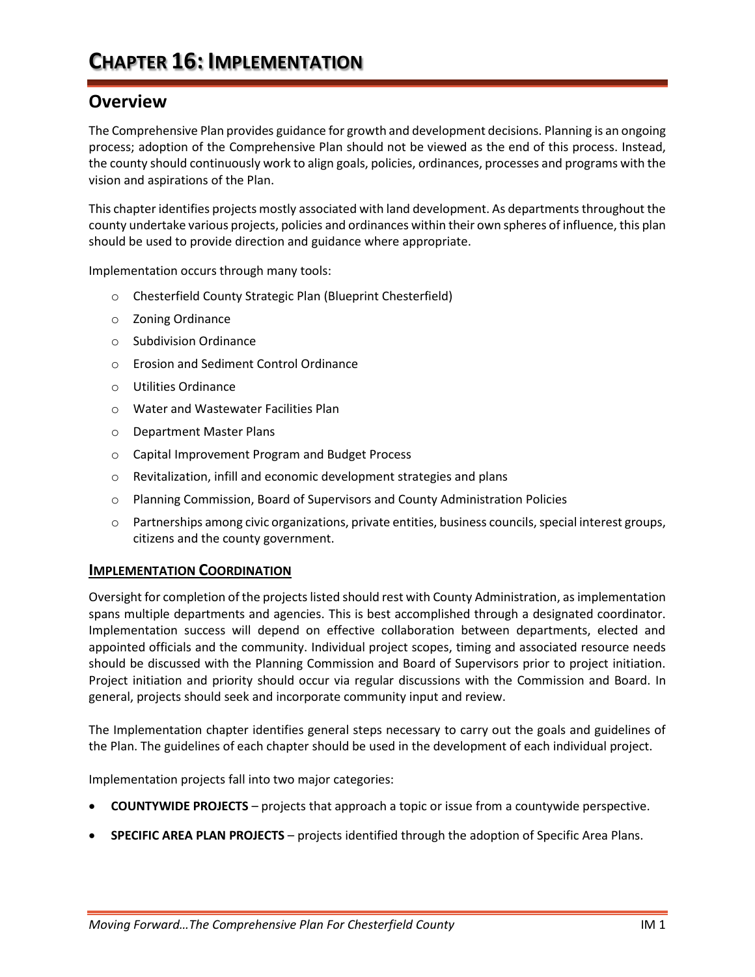#### **Overview**

The Comprehensive Plan provides guidance for growth and development decisions. Planning is an ongoing process; adoption of the Comprehensive Plan should not be viewed as the end of this process. Instead, the county should continuously work to align goals, policies, ordinances, processes and programs with the vision and aspirations of the Plan.

This chapter identifies projects mostly associated with land development. As departments throughout the county undertake various projects, policies and ordinances within their own spheres of influence, this plan should be used to provide direction and guidance where appropriate.

Implementation occurs through many tools:

- o Chesterfield County Strategic Plan (Blueprint Chesterfield)
- o Zoning Ordinance
- o Subdivision Ordinance
- o Erosion and Sediment Control Ordinance
- o Utilities Ordinance
- o Water and Wastewater Facilities Plan
- o Department Master Plans
- o Capital Improvement Program and Budget Process
- o Revitalization, infill and economic development strategies and plans
- o Planning Commission, Board of Supervisors and County Administration Policies
- o Partnerships among civic organizations, private entities, business councils, special interest groups, citizens and the county government.

#### **IMPLEMENTATION COORDINATION**

Oversight for completion of the projects listed should rest with County Administration, as implementation spans multiple departments and agencies. This is best accomplished through a designated coordinator. Implementation success will depend on effective collaboration between departments, elected and appointed officials and the community. Individual project scopes, timing and associated resource needs should be discussed with the Planning Commission and Board of Supervisors prior to project initiation. Project initiation and priority should occur via regular discussions with the Commission and Board. In general, projects should seek and incorporate community input and review.

The Implementation chapter identifies general steps necessary to carry out the goals and guidelines of the Plan. The guidelines of each chapter should be used in the development of each individual project.

Implementation projects fall into two major categories:

- **COUNTYWIDE PROJECTS** projects that approach a topic or issue from a countywide perspective.
- **SPECIFIC AREA PLAN PROJECTS** projects identified through the adoption of Specific Area Plans.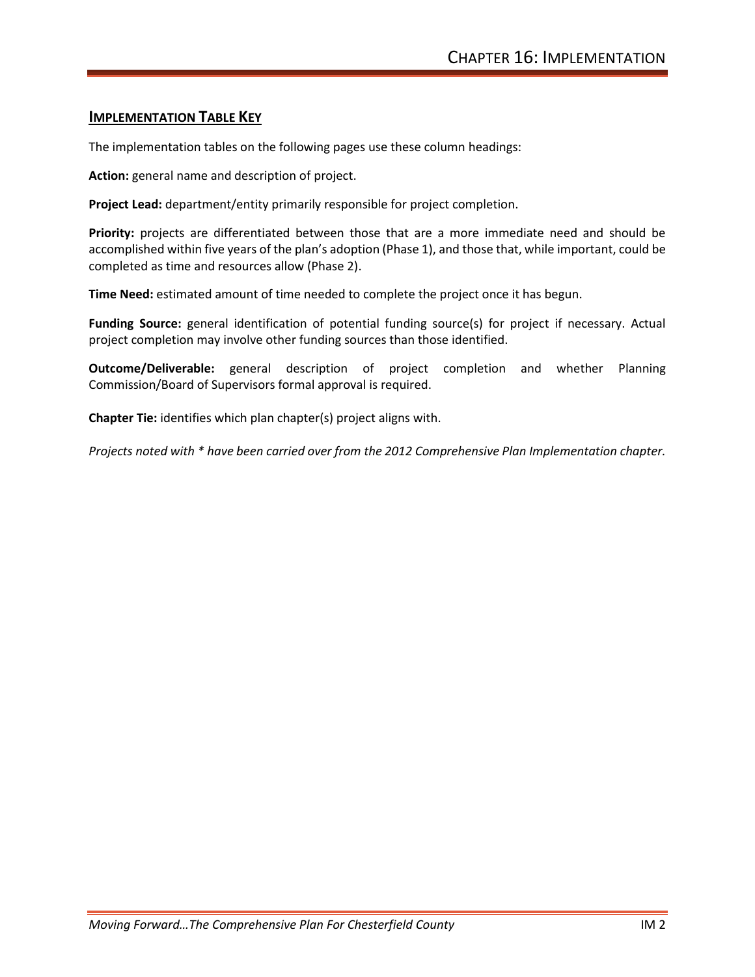#### **IMPLEMENTATION TABLE KEY**

The implementation tables on the following pages use these column headings:

**Action:** general name and description of project.

**Project Lead:** department/entity primarily responsible for project completion.

**Priority:** projects are differentiated between those that are a more immediate need and should be accomplished within five years of the plan's adoption (Phase 1), and those that, while important, could be completed as time and resources allow (Phase 2).

**Time Need:** estimated amount of time needed to complete the project once it has begun.

**Funding Source:** general identification of potential funding source(s) for project if necessary. Actual project completion may involve other funding sources than those identified.

**Outcome/Deliverable:** general description of project completion and whether Planning Commission/Board of Supervisors formal approval is required.

**Chapter Tie:** identifies which plan chapter(s) project aligns with.

*Projects noted with \* have been carried over from the 2012 Comprehensive Plan Implementation chapter.*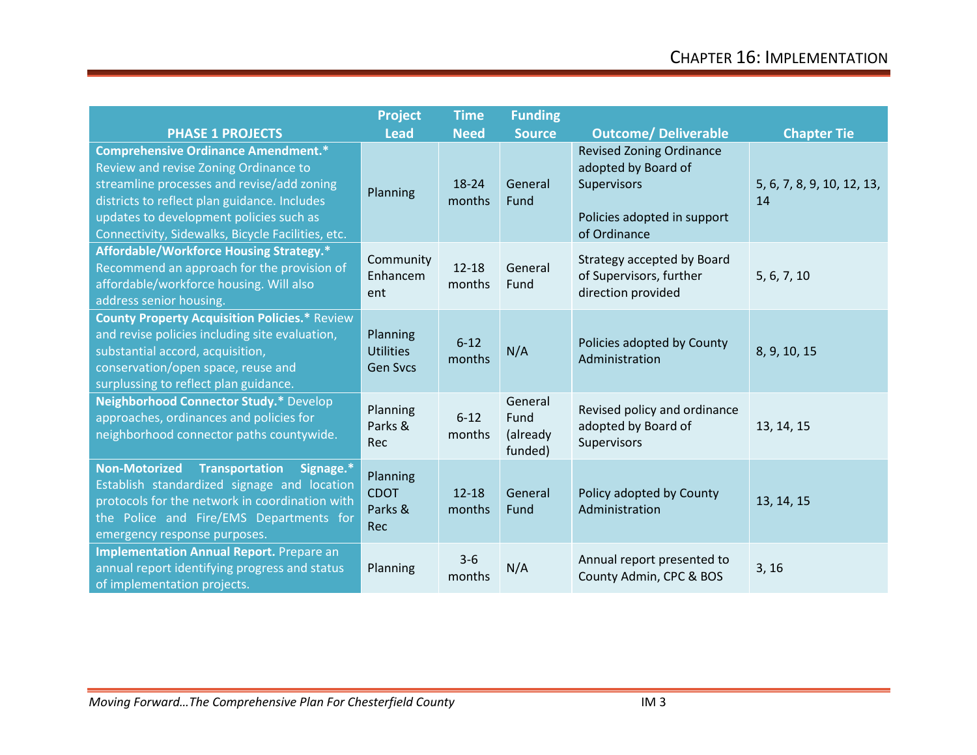|                                                                                                                                                                                                                                                                                   | <b>Project</b>                                  | <b>Time</b>         | <b>Funding</b>                         |                                                                                                                      |                                  |
|-----------------------------------------------------------------------------------------------------------------------------------------------------------------------------------------------------------------------------------------------------------------------------------|-------------------------------------------------|---------------------|----------------------------------------|----------------------------------------------------------------------------------------------------------------------|----------------------------------|
| <b>PHASE 1 PROJECTS</b>                                                                                                                                                                                                                                                           | <b>Lead</b>                                     | <b>Need</b>         | <b>Source</b>                          | <b>Outcome/ Deliverable</b>                                                                                          | <b>Chapter Tie</b>               |
| <b>Comprehensive Ordinance Amendment.*</b><br>Review and revise Zoning Ordinance to<br>streamline processes and revise/add zoning<br>districts to reflect plan guidance. Includes<br>updates to development policies such as<br>Connectivity, Sidewalks, Bicycle Facilities, etc. | Planning                                        | 18-24<br>months     | General<br>Fund                        | <b>Revised Zoning Ordinance</b><br>adopted by Board of<br>Supervisors<br>Policies adopted in support<br>of Ordinance | 5, 6, 7, 8, 9, 10, 12, 13,<br>14 |
| Affordable/Workforce Housing Strategy.*<br>Recommend an approach for the provision of<br>affordable/workforce housing. Will also<br>address senior housing.                                                                                                                       | Community<br>Enhancem<br>ent                    | $12 - 18$<br>months | General<br>Fund                        | Strategy accepted by Board<br>of Supervisors, further<br>direction provided                                          | 5, 6, 7, 10                      |
| <b>County Property Acquisition Policies.* Review</b><br>and revise policies including site evaluation,<br>substantial accord, acquisition,<br>conservation/open space, reuse and<br>surplussing to reflect plan guidance.                                                         | Planning<br><b>Utilities</b><br><b>Gen Svcs</b> | $6 - 12$<br>months  | N/A                                    | Policies adopted by County<br>Administration                                                                         | 8, 9, 10, 15                     |
| Neighborhood Connector Study.* Develop<br>approaches, ordinances and policies for<br>neighborhood connector paths countywide.                                                                                                                                                     | Planning<br>Parks &<br>Rec                      | $6 - 12$<br>months  | General<br>Fund<br>(already<br>funded) | Revised policy and ordinance<br>adopted by Board of<br>Supervisors                                                   | 13, 14, 15                       |
| Transportation<br><b>Non-Motorized</b><br>Signage.*<br>Establish standardized signage and location<br>protocols for the network in coordination with<br>the Police and Fire/EMS Departments for<br>emergency response purposes.                                                   | Planning<br><b>CDOT</b><br>Parks &<br>Rec       | $12 - 18$<br>months | General<br>Fund                        | Policy adopted by County<br>Administration                                                                           | 13, 14, 15                       |
| <b>Implementation Annual Report.</b> Prepare an<br>annual report identifying progress and status<br>of implementation projects.                                                                                                                                                   | Planning                                        | $3 - 6$<br>months   | N/A                                    | Annual report presented to<br>County Admin, CPC & BOS                                                                | 3, 16                            |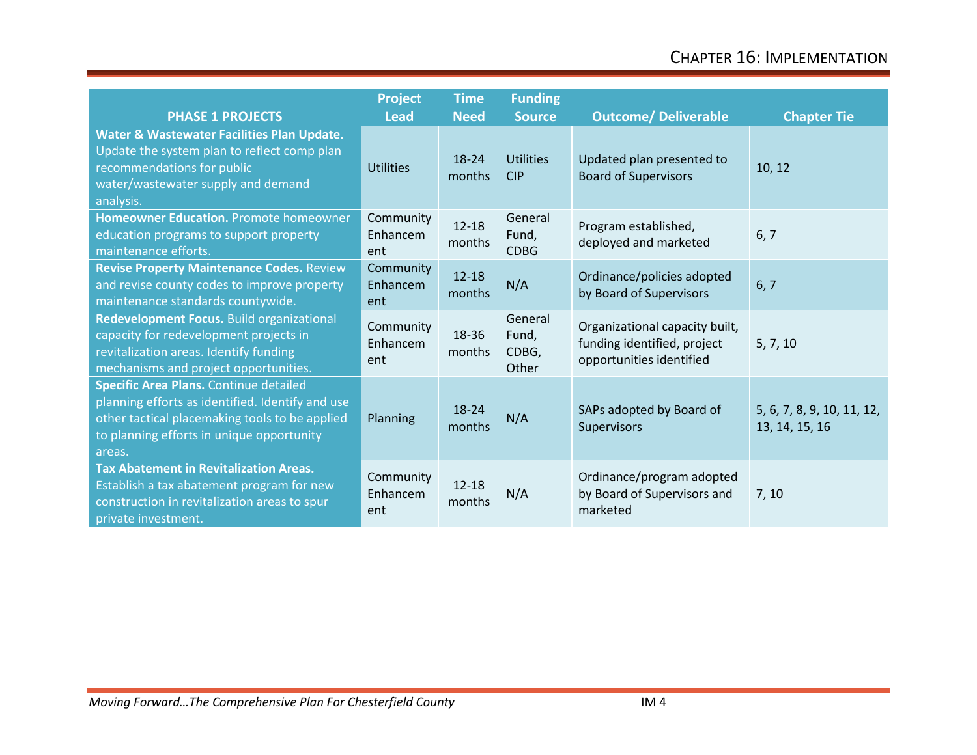| <b>PHASE 1 PROJECTS</b>                                                                                                                                                                             | <b>Project</b><br><b>Lead</b> | <b>Time</b><br><b>Need</b> | <b>Funding</b><br><b>Source</b>    | <b>Outcome/ Deliverable</b>                                                               | <b>Chapter Tie</b>                           |
|-----------------------------------------------------------------------------------------------------------------------------------------------------------------------------------------------------|-------------------------------|----------------------------|------------------------------------|-------------------------------------------------------------------------------------------|----------------------------------------------|
| Water & Wastewater Facilities Plan Update.<br>Update the system plan to reflect comp plan<br>recommendations for public<br>water/wastewater supply and demand<br>analysis.                          | <b>Utilities</b>              | 18-24<br>months            | <b>Utilities</b><br><b>CIP</b>     | Updated plan presented to<br><b>Board of Supervisors</b>                                  | 10, 12                                       |
| Homeowner Education. Promote homeowner<br>education programs to support property<br>maintenance efforts.                                                                                            | Community<br>Enhancem<br>ent  | $12 - 18$<br>months        | General<br>Fund,<br><b>CDBG</b>    | Program established,<br>deployed and marketed                                             | 6, 7                                         |
| <b>Revise Property Maintenance Codes. Review</b><br>and revise county codes to improve property<br>maintenance standards countywide.                                                                | Community<br>Enhancem<br>ent  | $12 - 18$<br>months        | N/A                                | Ordinance/policies adopted<br>by Board of Supervisors                                     | 6, 7                                         |
| Redevelopment Focus. Build organizational<br>capacity for redevelopment projects in<br>revitalization areas. Identify funding<br>mechanisms and project opportunities.                              | Community<br>Enhancem<br>ent  | 18-36<br>months            | General<br>Fund,<br>CDBG,<br>Other | Organizational capacity built,<br>funding identified, project<br>opportunities identified | 5, 7, 10                                     |
| Specific Area Plans. Continue detailed<br>planning efforts as identified. Identify and use<br>other tactical placemaking tools to be applied<br>to planning efforts in unique opportunity<br>areas. | Planning                      | 18-24<br>months            | N/A                                | SAPs adopted by Board of<br>Supervisors                                                   | 5, 6, 7, 8, 9, 10, 11, 12,<br>13, 14, 15, 16 |
| <b>Tax Abatement in Revitalization Areas.</b><br>Establish a tax abatement program for new<br>construction in revitalization areas to spur<br>private investment.                                   | Community<br>Enhancem<br>ent  | $12 - 18$<br>months        | N/A                                | Ordinance/program adopted<br>by Board of Supervisors and<br>marketed                      | 7, 10                                        |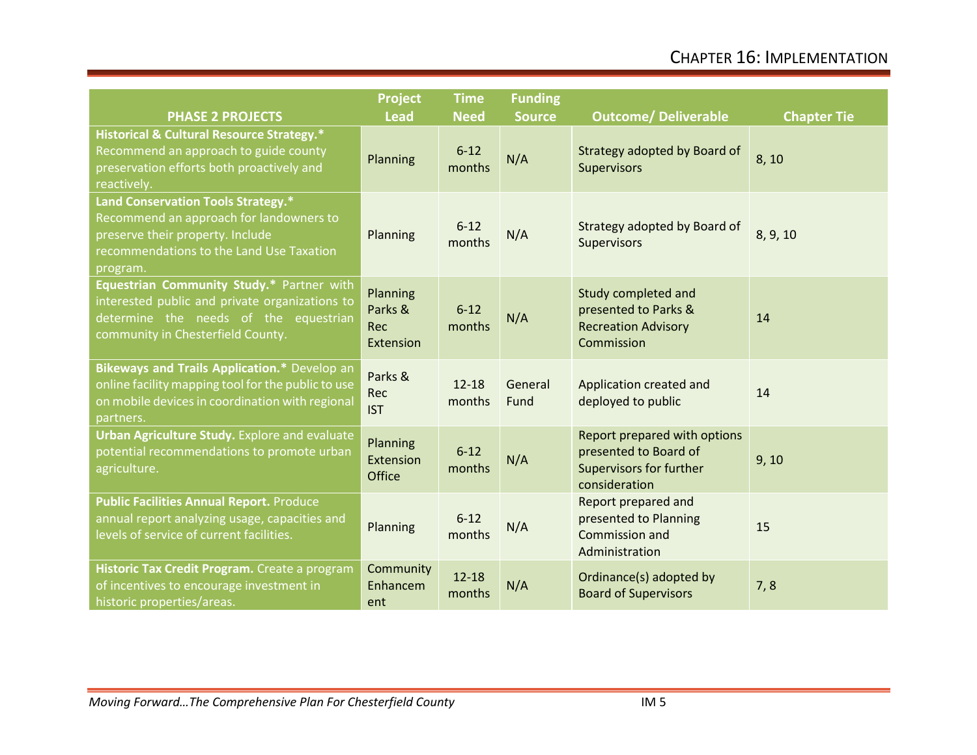| <b>PHASE 2 PROJECTS</b>                                                                                                                                                   | <b>Project</b><br><b>Lead</b>           | <b>Time</b><br><b>Need</b> | <b>Funding</b><br><b>Source</b> | <b>Outcome/ Deliverable</b>                                                                       | <b>Chapter Tie</b> |
|---------------------------------------------------------------------------------------------------------------------------------------------------------------------------|-----------------------------------------|----------------------------|---------------------------------|---------------------------------------------------------------------------------------------------|--------------------|
| <b>Historical &amp; Cultural Resource Strategy.*</b><br>Recommend an approach to guide county<br>preservation efforts both proactively and<br>reactively.                 | Planning                                | $6 - 12$<br>months         | N/A                             | Strategy adopted by Board of<br>Supervisors                                                       | 8, 10              |
| Land Conservation Tools Strategy.*<br>Recommend an approach for landowners to<br>preserve their property. Include<br>recommendations to the Land Use Taxation<br>program. | Planning                                | $6 - 12$<br>months         | N/A                             | Strategy adopted by Board of<br>Supervisors                                                       | 8, 9, 10           |
| Equestrian Community Study.* Partner with<br>interested public and private organizations to<br>determine the needs of the equestrian<br>community in Chesterfield County. | Planning<br>Parks &<br>Rec<br>Extension | $6 - 12$<br>months         | N/A                             | Study completed and<br>presented to Parks &<br><b>Recreation Advisory</b><br>Commission           | 14                 |
| Bikeways and Trails Application.* Develop an<br>online facility mapping tool for the public to use<br>on mobile devices in coordination with regional<br>partners.        | Parks &<br>Rec<br><b>IST</b>            | $12 - 18$<br>months        | General<br>Fund                 | Application created and<br>deployed to public                                                     | 14                 |
| Urban Agriculture Study. Explore and evaluate<br>potential recommendations to promote urban<br>agriculture.                                                               | Planning<br>Extension<br>Office         | $6 - 12$<br>months         | N/A                             | Report prepared with options<br>presented to Board of<br>Supervisors for further<br>consideration | 9, 10              |
| <b>Public Facilities Annual Report. Produce</b><br>annual report analyzing usage, capacities and<br>levels of service of current facilities.                              | Planning                                | $6 - 12$<br>months         | N/A                             | Report prepared and<br>presented to Planning<br>Commission and<br>Administration                  | 15                 |
| Historic Tax Credit Program. Create a program<br>of incentives to encourage investment in<br>historic properties/areas.                                                   | Community<br>Enhancem<br>ent            | $12 - 18$<br>months        | N/A                             | Ordinance(s) adopted by<br><b>Board of Supervisors</b>                                            | 7,8                |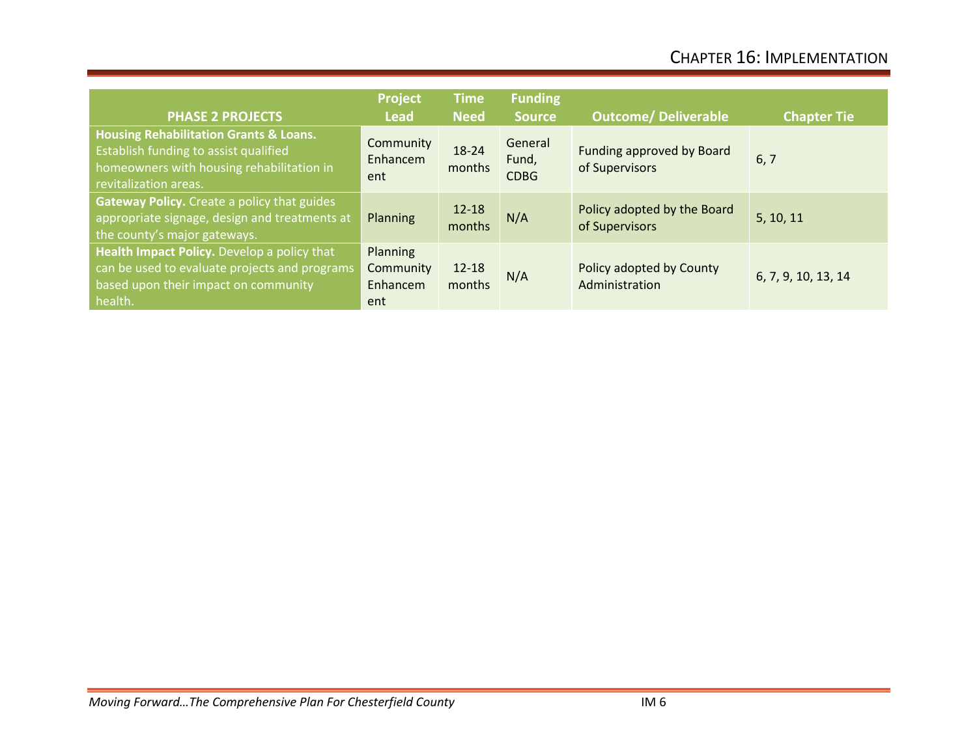| <b>PHASE 2 PROJECTS</b>                                                                                                                                          | Project<br><b>Lead</b>                   | <b>Time</b><br><b>Need</b> | <b>Funding</b><br><b>Source</b> | <b>Outcome/ Deliverable</b>                   | <b>Chapter Tie</b>  |
|------------------------------------------------------------------------------------------------------------------------------------------------------------------|------------------------------------------|----------------------------|---------------------------------|-----------------------------------------------|---------------------|
| <b>Housing Rehabilitation Grants &amp; Loans.</b><br>Establish funding to assist qualified<br>homeowners with housing rehabilitation in<br>revitalization areas. | Community<br>Enhancem<br>ent             | $18 - 24$<br>months        | General<br>Fund,<br><b>CDBG</b> | Funding approved by Board<br>of Supervisors   | 6, 7                |
| Gateway Policy. Create a policy that guides<br>appropriate signage, design and treatments at<br>the county's major gateways.                                     | Planning                                 | $12 - 18$<br>months        | N/A                             | Policy adopted by the Board<br>of Supervisors | 5, 10, 11           |
| Health Impact Policy. Develop a policy that<br>can be used to evaluate projects and programs<br>based upon their impact on community<br>health.                  | Planning<br>Community<br>Enhancem<br>ent | $12 - 18$<br>months        | N/A                             | Policy adopted by County<br>Administration    | 6, 7, 9, 10, 13, 14 |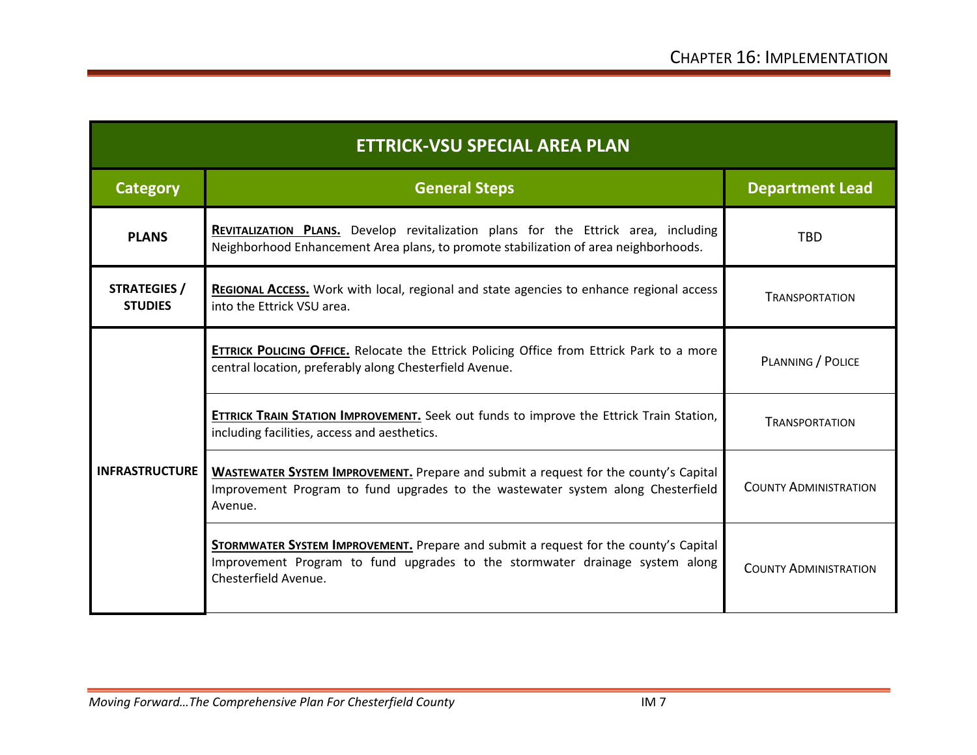| <b>ETTRICK-VSU SPECIAL AREA PLAN</b>  |                                                                                                                                                                                              |                              |  |  |
|---------------------------------------|----------------------------------------------------------------------------------------------------------------------------------------------------------------------------------------------|------------------------------|--|--|
| <b>Category</b>                       | <b>General Steps</b>                                                                                                                                                                         | <b>Department Lead</b>       |  |  |
| <b>PLANS</b>                          | REVITALIZATION PLANS. Develop revitalization plans for the Ettrick area, including<br>Neighborhood Enhancement Area plans, to promote stabilization of area neighborhoods.                   | <b>TBD</b>                   |  |  |
| <b>STRATEGIES /</b><br><b>STUDIES</b> | <b>REGIONAL ACCESS.</b> Work with local, regional and state agencies to enhance regional access<br>into the Ettrick VSU area.                                                                | <b>TRANSPORTATION</b>        |  |  |
|                                       | <b>ETTRICK POLICING OFFICE.</b> Relocate the Ettrick Policing Office from Ettrick Park to a more<br>central location, preferably along Chesterfield Avenue.                                  | PLANNING / POLICE            |  |  |
|                                       | ETTRICK TRAIN STATION IMPROVEMENT. Seek out funds to improve the Ettrick Train Station,<br>including facilities, access and aesthetics.                                                      | <b>TRANSPORTATION</b>        |  |  |
| <b>INFRASTRUCTURE</b>                 | <b>WASTEWATER SYSTEM IMPROVEMENT.</b> Prepare and submit a request for the county's Capital<br>Improvement Program to fund upgrades to the wastewater system along Chesterfield<br>Avenue.   | <b>COUNTY ADMINISTRATION</b> |  |  |
|                                       | STORMWATER SYSTEM IMPROVEMENT. Prepare and submit a request for the county's Capital<br>Improvement Program to fund upgrades to the stormwater drainage system along<br>Chesterfield Avenue. | <b>COUNTY ADMINISTRATION</b> |  |  |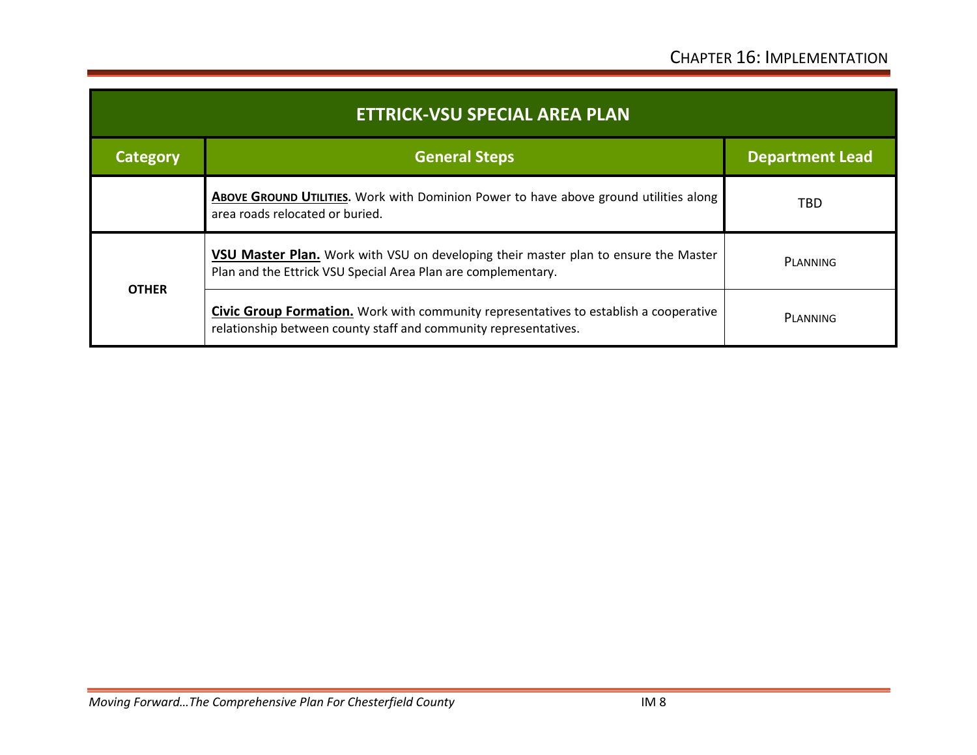| <b>ETTRICK-VSU SPECIAL AREA PLAN</b> |                                                                                                                                                                  |                        |  |  |
|--------------------------------------|------------------------------------------------------------------------------------------------------------------------------------------------------------------|------------------------|--|--|
| <b>Category</b>                      | <b>General Steps</b>                                                                                                                                             | <b>Department Lead</b> |  |  |
|                                      | ABOVE GROUND UTILITIES. Work with Dominion Power to have above ground utilities along<br>area roads relocated or buried.                                         | <b>TBD</b>             |  |  |
| <b>OTHER</b>                         | <b>VSU Master Plan.</b> Work with VSU on developing their master plan to ensure the Master<br>Plan and the Ettrick VSU Special Area Plan are complementary.      | PLANNING               |  |  |
|                                      | <b>Civic Group Formation.</b> Work with community representatives to establish a cooperative<br>relationship between county staff and community representatives. | PLANNING               |  |  |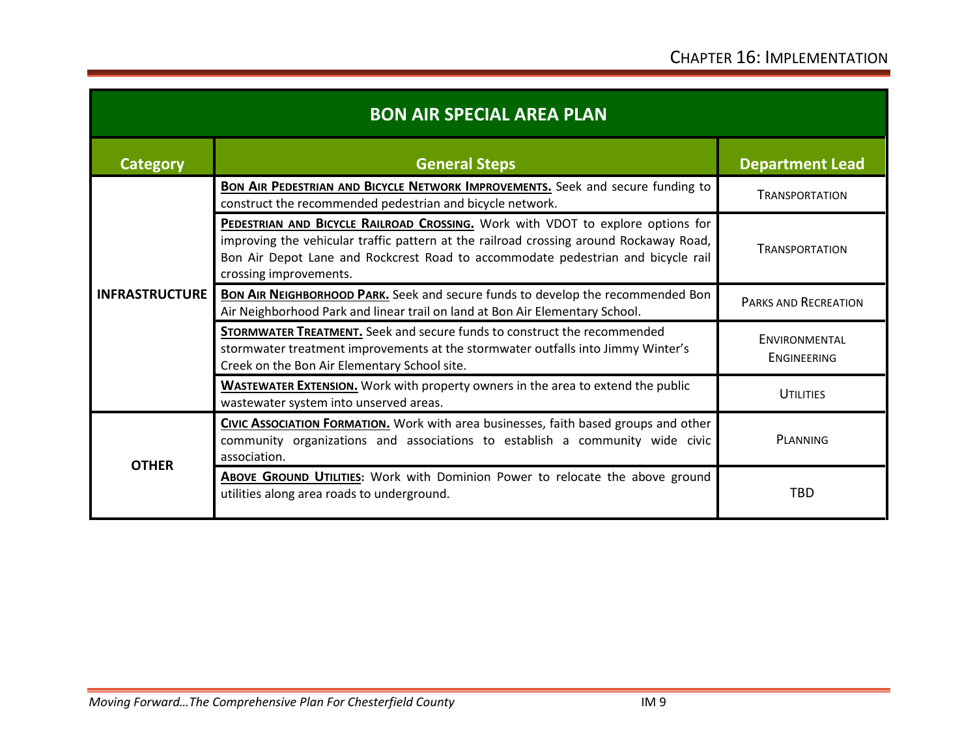| <b>BON AIR SPECIAL AREA PLAN</b> |                                                                                                                                                                                                                                                                                                |                                     |  |  |
|----------------------------------|------------------------------------------------------------------------------------------------------------------------------------------------------------------------------------------------------------------------------------------------------------------------------------------------|-------------------------------------|--|--|
| <b>Category</b>                  | <b>General Steps</b>                                                                                                                                                                                                                                                                           | <b>Department Lead</b>              |  |  |
|                                  | <b>BON AIR PEDESTRIAN AND BICYCLE NETWORK IMPROVEMENTS.</b> Seek and secure funding to<br>construct the recommended pedestrian and bicycle network.                                                                                                                                            | <b>TRANSPORTATION</b>               |  |  |
|                                  | <b>PEDESTRIAN AND BICYCLE RAILROAD CROSSING.</b> Work with VDOT to explore options for<br>improving the vehicular traffic pattern at the railroad crossing around Rockaway Road,<br>Bon Air Depot Lane and Rockcrest Road to accommodate pedestrian and bicycle rail<br>crossing improvements. | <b>TRANSPORTATION</b>               |  |  |
| <b>INFRASTRUCTURE</b>            | <b>BON AIR NEIGHBORHOOD PARK.</b> Seek and secure funds to develop the recommended Bon<br>Air Neighborhood Park and linear trail on land at Bon Air Elementary School.                                                                                                                         | PARKS AND RECREATION                |  |  |
|                                  | STORMWATER TREATMENT. Seek and secure funds to construct the recommended<br>stormwater treatment improvements at the stormwater outfalls into Jimmy Winter's<br>Creek on the Bon Air Elementary School site.                                                                                   | <b>ENVIRONMENTAL</b><br>ENGINEERING |  |  |
|                                  | <b>WASTEWATER EXTENSION.</b> Work with property owners in the area to extend the public<br>wastewater system into unserved areas.                                                                                                                                                              | <b>UTILITIES</b>                    |  |  |
| <b>OTHER</b>                     | CIVIC ASSOCIATION FORMATION. Work with area businesses, faith based groups and other<br>community organizations and associations to establish a community wide civic<br>association.                                                                                                           | PLANNING                            |  |  |
|                                  | <b>ABOVE GROUND UTILITIES:</b> Work with Dominion Power to relocate the above ground<br>utilities along area roads to underground.                                                                                                                                                             | <b>TBD</b>                          |  |  |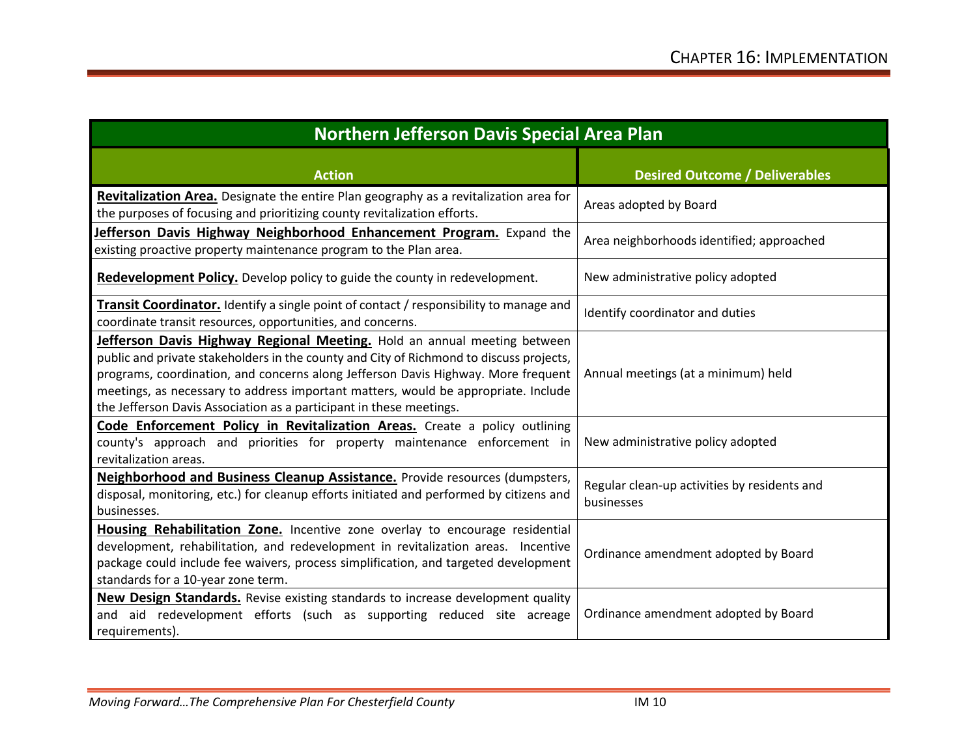| <b>Northern Jefferson Davis Special Area Plan</b>                                                                                                                                                                                                                                                                                                                                                                     |                                                            |  |  |  |
|-----------------------------------------------------------------------------------------------------------------------------------------------------------------------------------------------------------------------------------------------------------------------------------------------------------------------------------------------------------------------------------------------------------------------|------------------------------------------------------------|--|--|--|
| <b>Action</b>                                                                                                                                                                                                                                                                                                                                                                                                         | <b>Desired Outcome / Deliverables</b>                      |  |  |  |
| Revitalization Area. Designate the entire Plan geography as a revitalization area for<br>the purposes of focusing and prioritizing county revitalization efforts.                                                                                                                                                                                                                                                     | Areas adopted by Board                                     |  |  |  |
| Jefferson Davis Highway Neighborhood Enhancement Program. Expand the<br>existing proactive property maintenance program to the Plan area.                                                                                                                                                                                                                                                                             | Area neighborhoods identified; approached                  |  |  |  |
| Redevelopment Policy. Develop policy to guide the county in redevelopment.                                                                                                                                                                                                                                                                                                                                            | New administrative policy adopted                          |  |  |  |
| <b>Transit Coordinator.</b> Identify a single point of contact / responsibility to manage and<br>coordinate transit resources, opportunities, and concerns.                                                                                                                                                                                                                                                           | Identify coordinator and duties                            |  |  |  |
| Jefferson Davis Highway Regional Meeting. Hold an annual meeting between<br>public and private stakeholders in the county and City of Richmond to discuss projects,<br>programs, coordination, and concerns along Jefferson Davis Highway. More frequent<br>meetings, as necessary to address important matters, would be appropriate. Include<br>the Jefferson Davis Association as a participant in these meetings. | Annual meetings (at a minimum) held                        |  |  |  |
| Code Enforcement Policy in Revitalization Areas. Create a policy outlining<br>county's approach and priorities for property maintenance enforcement in<br>revitalization areas.                                                                                                                                                                                                                                       | New administrative policy adopted                          |  |  |  |
| Neighborhood and Business Cleanup Assistance. Provide resources (dumpsters,<br>disposal, monitoring, etc.) for cleanup efforts initiated and performed by citizens and<br>businesses.                                                                                                                                                                                                                                 | Regular clean-up activities by residents and<br>businesses |  |  |  |
| Housing Rehabilitation Zone. Incentive zone overlay to encourage residential<br>development, rehabilitation, and redevelopment in revitalization areas. Incentive<br>package could include fee waivers, process simplification, and targeted development<br>standards for a 10-year zone term.                                                                                                                        | Ordinance amendment adopted by Board                       |  |  |  |
| <b>New Design Standards.</b> Revise existing standards to increase development quality<br>and aid redevelopment efforts (such as supporting reduced site acreage<br>requirements).                                                                                                                                                                                                                                    | Ordinance amendment adopted by Board                       |  |  |  |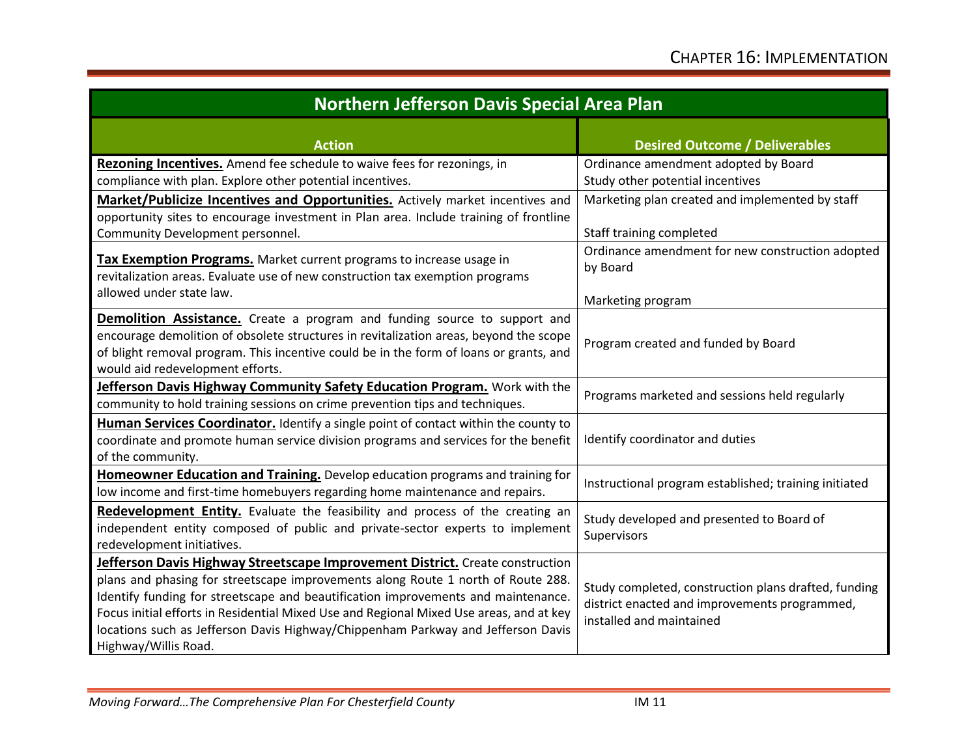| <b>Northern Jefferson Davis Special Area Plan</b>                                                                                                                                                                                                                                                                                                                                                                                                             |                                                                                                                                   |  |  |  |
|---------------------------------------------------------------------------------------------------------------------------------------------------------------------------------------------------------------------------------------------------------------------------------------------------------------------------------------------------------------------------------------------------------------------------------------------------------------|-----------------------------------------------------------------------------------------------------------------------------------|--|--|--|
| <b>Action</b>                                                                                                                                                                                                                                                                                                                                                                                                                                                 | <b>Desired Outcome / Deliverables</b>                                                                                             |  |  |  |
| Rezoning Incentives. Amend fee schedule to waive fees for rezonings, in<br>compliance with plan. Explore other potential incentives.                                                                                                                                                                                                                                                                                                                          | Ordinance amendment adopted by Board<br>Study other potential incentives                                                          |  |  |  |
| Market/Publicize Incentives and Opportunities. Actively market incentives and<br>opportunity sites to encourage investment in Plan area. Include training of frontline<br>Community Development personnel.                                                                                                                                                                                                                                                    | Marketing plan created and implemented by staff<br>Staff training completed                                                       |  |  |  |
| <b>Tax Exemption Programs.</b> Market current programs to increase usage in<br>revitalization areas. Evaluate use of new construction tax exemption programs                                                                                                                                                                                                                                                                                                  | Ordinance amendment for new construction adopted<br>by Board                                                                      |  |  |  |
| allowed under state law.                                                                                                                                                                                                                                                                                                                                                                                                                                      | Marketing program                                                                                                                 |  |  |  |
| <b>Demolition Assistance.</b> Create a program and funding source to support and<br>encourage demolition of obsolete structures in revitalization areas, beyond the scope<br>of blight removal program. This incentive could be in the form of loans or grants, and<br>would aid redevelopment efforts.                                                                                                                                                       | Program created and funded by Board                                                                                               |  |  |  |
| Jefferson Davis Highway Community Safety Education Program. Work with the<br>community to hold training sessions on crime prevention tips and techniques.                                                                                                                                                                                                                                                                                                     | Programs marketed and sessions held regularly                                                                                     |  |  |  |
| Human Services Coordinator. Identify a single point of contact within the county to<br>coordinate and promote human service division programs and services for the benefit<br>of the community.                                                                                                                                                                                                                                                               | Identify coordinator and duties                                                                                                   |  |  |  |
| Homeowner Education and Training. Develop education programs and training for<br>low income and first-time homebuyers regarding home maintenance and repairs.                                                                                                                                                                                                                                                                                                 | Instructional program established; training initiated                                                                             |  |  |  |
| Redevelopment Entity. Evaluate the feasibility and process of the creating an<br>independent entity composed of public and private-sector experts to implement<br>redevelopment initiatives.                                                                                                                                                                                                                                                                  | Study developed and presented to Board of<br>Supervisors                                                                          |  |  |  |
| Jefferson Davis Highway Streetscape Improvement District. Create construction<br>plans and phasing for streetscape improvements along Route 1 north of Route 288.<br>Identify funding for streetscape and beautification improvements and maintenance.<br>Focus initial efforts in Residential Mixed Use and Regional Mixed Use areas, and at key<br>locations such as Jefferson Davis Highway/Chippenham Parkway and Jefferson Davis<br>Highway/Willis Road. | Study completed, construction plans drafted, funding<br>district enacted and improvements programmed,<br>installed and maintained |  |  |  |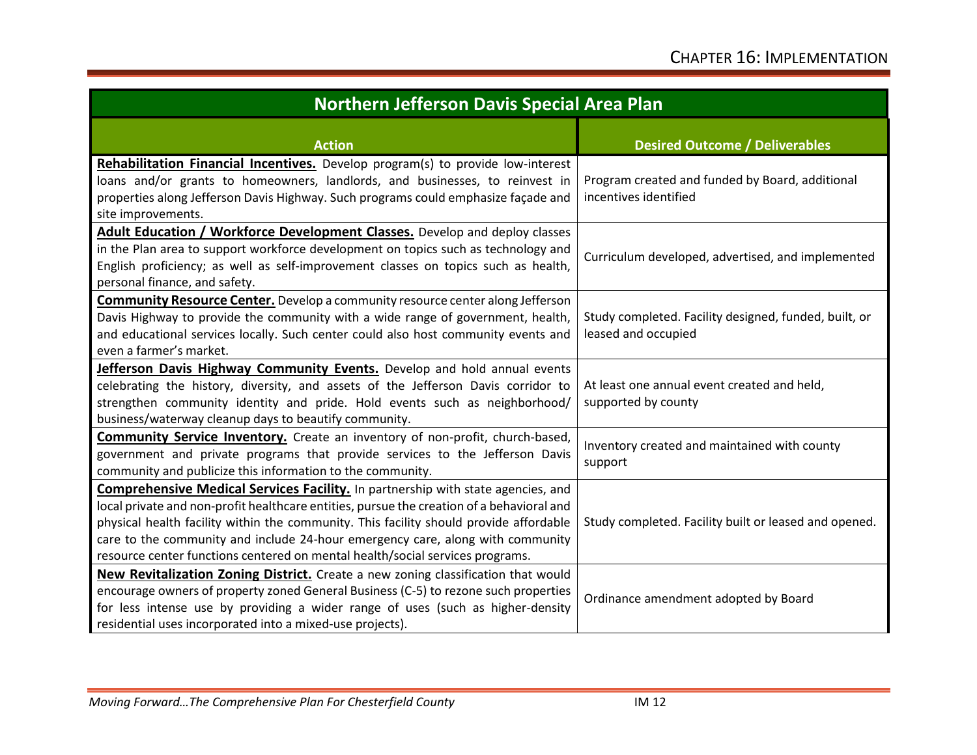| <b>Northern Jefferson Davis Special Area Plan</b>                                                                                                                                                                                                                                                                                                                                                                                                 |                                                                              |  |  |  |
|---------------------------------------------------------------------------------------------------------------------------------------------------------------------------------------------------------------------------------------------------------------------------------------------------------------------------------------------------------------------------------------------------------------------------------------------------|------------------------------------------------------------------------------|--|--|--|
| <b>Action</b>                                                                                                                                                                                                                                                                                                                                                                                                                                     | <b>Desired Outcome / Deliverables</b>                                        |  |  |  |
| Rehabilitation Financial Incentives. Develop program(s) to provide low-interest<br>loans and/or grants to homeowners, landlords, and businesses, to reinvest in<br>properties along Jefferson Davis Highway. Such programs could emphasize façade and<br>site improvements.                                                                                                                                                                       | Program created and funded by Board, additional<br>incentives identified     |  |  |  |
| Adult Education / Workforce Development Classes. Develop and deploy classes<br>in the Plan area to support workforce development on topics such as technology and<br>English proficiency; as well as self-improvement classes on topics such as health,<br>personal finance, and safety.                                                                                                                                                          | Curriculum developed, advertised, and implemented                            |  |  |  |
| <b>Community Resource Center.</b> Develop a community resource center along Jefferson<br>Davis Highway to provide the community with a wide range of government, health,<br>and educational services locally. Such center could also host community events and<br>even a farmer's market.                                                                                                                                                         | Study completed. Facility designed, funded, built, or<br>leased and occupied |  |  |  |
| Jefferson Davis Highway Community Events. Develop and hold annual events<br>celebrating the history, diversity, and assets of the Jefferson Davis corridor to<br>strengthen community identity and pride. Hold events such as neighborhood/<br>business/waterway cleanup days to beautify community.                                                                                                                                              | At least one annual event created and held,<br>supported by county           |  |  |  |
| <b>Community Service Inventory.</b> Create an inventory of non-profit, church-based,<br>government and private programs that provide services to the Jefferson Davis<br>community and publicize this information to the community.                                                                                                                                                                                                                | Inventory created and maintained with county<br>support                      |  |  |  |
| <b>Comprehensive Medical Services Facility.</b> In partnership with state agencies, and<br>local private and non-profit healthcare entities, pursue the creation of a behavioral and<br>physical health facility within the community. This facility should provide affordable<br>care to the community and include 24-hour emergency care, along with community<br>resource center functions centered on mental health/social services programs. | Study completed. Facility built or leased and opened.                        |  |  |  |
| New Revitalization Zoning District. Create a new zoning classification that would<br>encourage owners of property zoned General Business (C-5) to rezone such properties<br>for less intense use by providing a wider range of uses (such as higher-density<br>residential uses incorporated into a mixed-use projects).                                                                                                                          | Ordinance amendment adopted by Board                                         |  |  |  |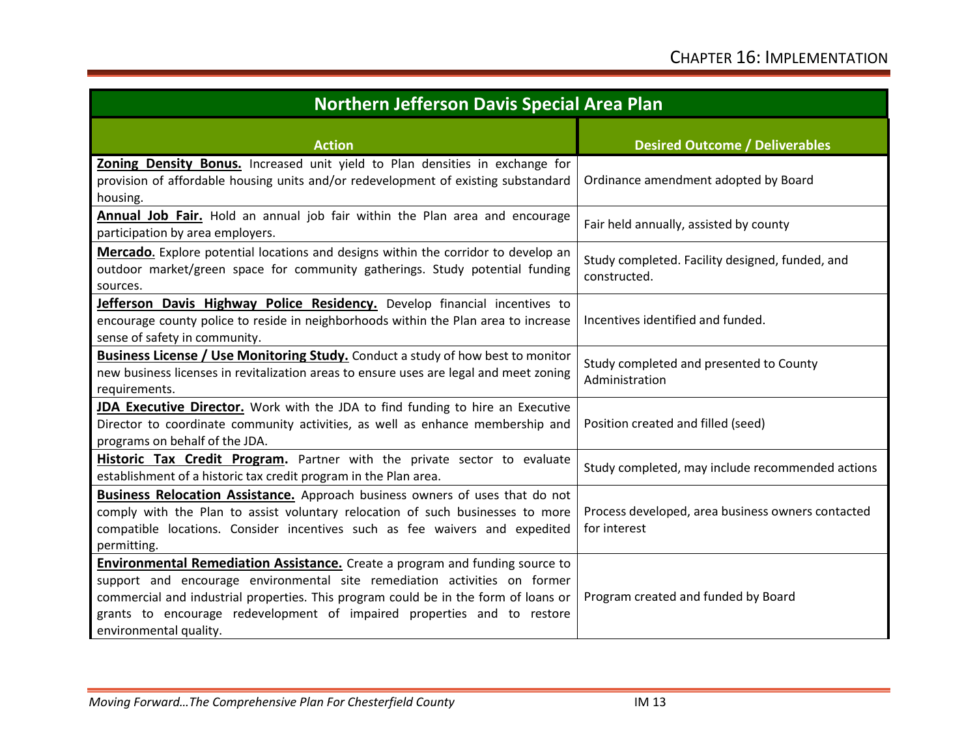| <b>Northern Jefferson Davis Special Area Plan</b>                                                                                                                                                                                                                                                                                                            |                                                                   |  |  |  |
|--------------------------------------------------------------------------------------------------------------------------------------------------------------------------------------------------------------------------------------------------------------------------------------------------------------------------------------------------------------|-------------------------------------------------------------------|--|--|--|
| <b>Action</b>                                                                                                                                                                                                                                                                                                                                                | <b>Desired Outcome / Deliverables</b>                             |  |  |  |
| Zoning Density Bonus. Increased unit yield to Plan densities in exchange for<br>provision of affordable housing units and/or redevelopment of existing substandard<br>housing.                                                                                                                                                                               | Ordinance amendment adopted by Board                              |  |  |  |
| Annual Job Fair. Hold an annual job fair within the Plan area and encourage<br>participation by area employers.                                                                                                                                                                                                                                              | Fair held annually, assisted by county                            |  |  |  |
| Mercado. Explore potential locations and designs within the corridor to develop an<br>outdoor market/green space for community gatherings. Study potential funding<br>sources.                                                                                                                                                                               | Study completed. Facility designed, funded, and<br>constructed.   |  |  |  |
| Jefferson Davis Highway Police Residency. Develop financial incentives to<br>encourage county police to reside in neighborhoods within the Plan area to increase<br>sense of safety in community.                                                                                                                                                            | Incentives identified and funded.                                 |  |  |  |
| <b>Business License / Use Monitoring Study.</b> Conduct a study of how best to monitor<br>new business licenses in revitalization areas to ensure uses are legal and meet zoning<br>requirements.                                                                                                                                                            | Study completed and presented to County<br>Administration         |  |  |  |
| JDA Executive Director. Work with the JDA to find funding to hire an Executive<br>Director to coordinate community activities, as well as enhance membership and<br>programs on behalf of the JDA.                                                                                                                                                           | Position created and filled (seed)                                |  |  |  |
| Historic Tax Credit Program. Partner with the private sector to evaluate<br>establishment of a historic tax credit program in the Plan area.                                                                                                                                                                                                                 | Study completed, may include recommended actions                  |  |  |  |
| Business Relocation Assistance. Approach business owners of uses that do not<br>comply with the Plan to assist voluntary relocation of such businesses to more<br>compatible locations. Consider incentives such as fee waivers and expedited<br>permitting.                                                                                                 | Process developed, area business owners contacted<br>for interest |  |  |  |
| <b>Environmental Remediation Assistance.</b> Create a program and funding source to<br>support and encourage environmental site remediation activities on former<br>commercial and industrial properties. This program could be in the form of loans or<br>grants to encourage redevelopment of impaired properties and to restore<br>environmental quality. | Program created and funded by Board                               |  |  |  |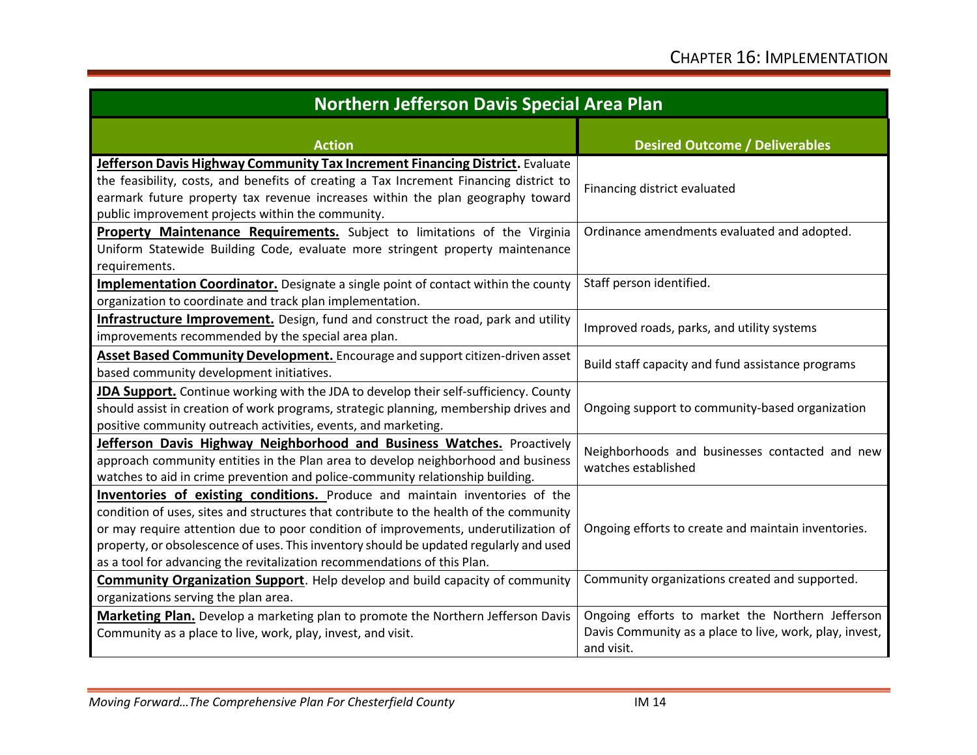| Northern Jefferson Davis Special Area Plan                                                                                                                                                                                                                                                                                                                                                                                                |                                                                                                                           |  |  |  |
|-------------------------------------------------------------------------------------------------------------------------------------------------------------------------------------------------------------------------------------------------------------------------------------------------------------------------------------------------------------------------------------------------------------------------------------------|---------------------------------------------------------------------------------------------------------------------------|--|--|--|
| <b>Action</b>                                                                                                                                                                                                                                                                                                                                                                                                                             | <b>Desired Outcome / Deliverables</b>                                                                                     |  |  |  |
| Jefferson Davis Highway Community Tax Increment Financing District. Evaluate<br>the feasibility, costs, and benefits of creating a Tax Increment Financing district to<br>earmark future property tax revenue increases within the plan geography toward<br>public improvement projects within the community.                                                                                                                             | Financing district evaluated                                                                                              |  |  |  |
| Property Maintenance Requirements. Subject to limitations of the Virginia<br>Uniform Statewide Building Code, evaluate more stringent property maintenance<br>requirements.                                                                                                                                                                                                                                                               | Ordinance amendments evaluated and adopted.                                                                               |  |  |  |
| Implementation Coordinator. Designate a single point of contact within the county<br>organization to coordinate and track plan implementation.                                                                                                                                                                                                                                                                                            | Staff person identified.                                                                                                  |  |  |  |
| Infrastructure Improvement. Design, fund and construct the road, park and utility<br>improvements recommended by the special area plan.                                                                                                                                                                                                                                                                                                   | Improved roads, parks, and utility systems                                                                                |  |  |  |
| Asset Based Community Development. Encourage and support citizen-driven asset<br>based community development initiatives.                                                                                                                                                                                                                                                                                                                 | Build staff capacity and fund assistance programs                                                                         |  |  |  |
| JDA Support. Continue working with the JDA to develop their self-sufficiency. County<br>should assist in creation of work programs, strategic planning, membership drives and<br>positive community outreach activities, events, and marketing.                                                                                                                                                                                           | Ongoing support to community-based organization                                                                           |  |  |  |
| Jefferson Davis Highway Neighborhood and Business Watches. Proactively<br>approach community entities in the Plan area to develop neighborhood and business<br>watches to aid in crime prevention and police-community relationship building.                                                                                                                                                                                             | Neighborhoods and businesses contacted and new<br>watches established                                                     |  |  |  |
| <b>Inventories of existing conditions.</b> Produce and maintain inventories of the<br>condition of uses, sites and structures that contribute to the health of the community<br>or may require attention due to poor condition of improvements, underutilization of<br>property, or obsolescence of uses. This inventory should be updated regularly and used<br>as a tool for advancing the revitalization recommendations of this Plan. | Ongoing efforts to create and maintain inventories.                                                                       |  |  |  |
| <b>Community Organization Support</b> . Help develop and build capacity of community<br>organizations serving the plan area.                                                                                                                                                                                                                                                                                                              | Community organizations created and supported.                                                                            |  |  |  |
| Marketing Plan. Develop a marketing plan to promote the Northern Jefferson Davis<br>Community as a place to live, work, play, invest, and visit.                                                                                                                                                                                                                                                                                          | Ongoing efforts to market the Northern Jefferson<br>Davis Community as a place to live, work, play, invest,<br>and visit. |  |  |  |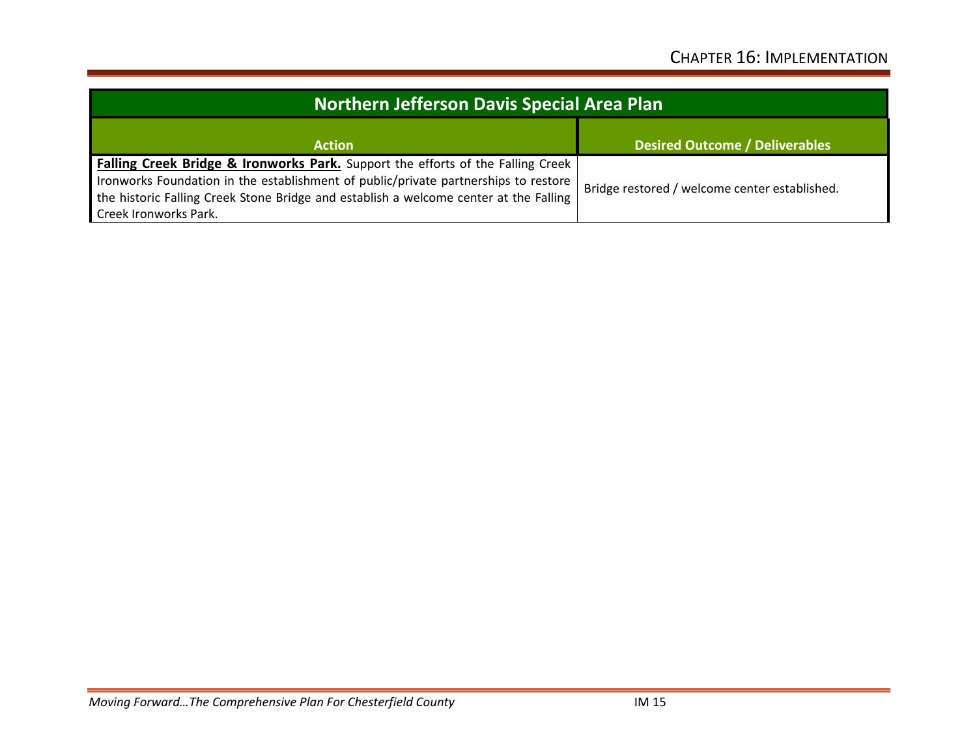| Northern Jefferson Davis Special Area Plan                                                                                                                                                                                                                                                          |                                               |  |  |
|-----------------------------------------------------------------------------------------------------------------------------------------------------------------------------------------------------------------------------------------------------------------------------------------------------|-----------------------------------------------|--|--|
| <b>Action</b>                                                                                                                                                                                                                                                                                       | <b>Desired Outcome / Deliverables</b>         |  |  |
| <b>Falling Creek Bridge &amp; Ironworks Park.</b> Support the efforts of the Falling Creek<br>Ironworks Foundation in the establishment of public/private partnerships to restore<br>the historic Falling Creek Stone Bridge and establish a welcome center at the Falling<br>Creek Ironworks Park. | Bridge restored / welcome center established. |  |  |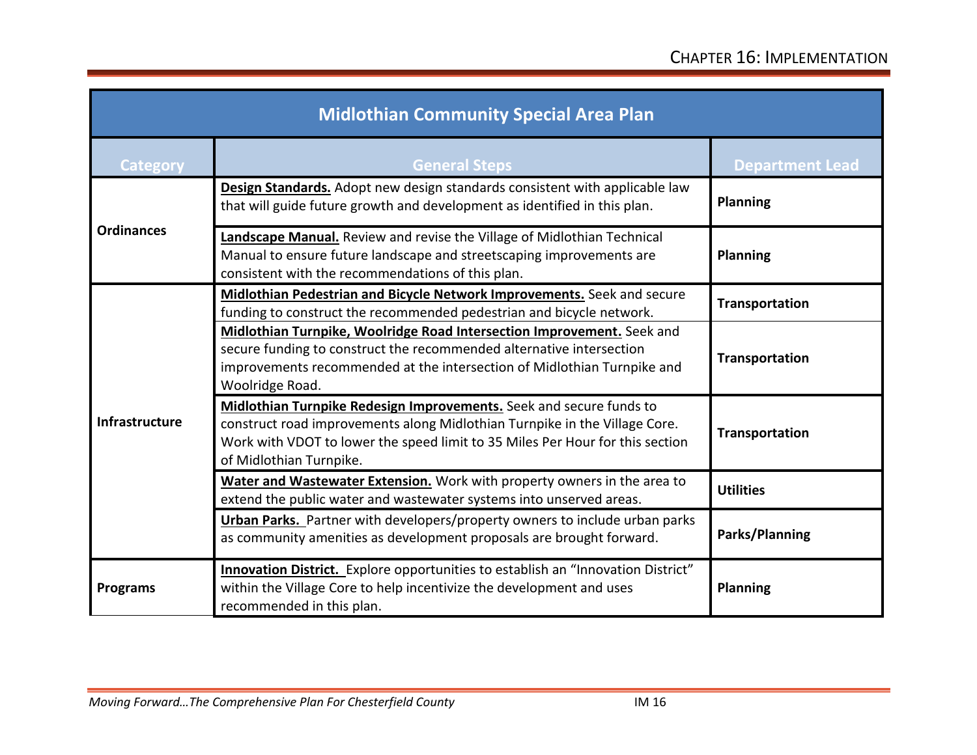| <b>Midlothian Community Special Area Plan</b> |                                                                                                                                                                                                                                                               |                        |  |
|-----------------------------------------------|---------------------------------------------------------------------------------------------------------------------------------------------------------------------------------------------------------------------------------------------------------------|------------------------|--|
| <b>Category</b>                               | <b>General Steps</b>                                                                                                                                                                                                                                          | <b>Department Lead</b> |  |
| <b>Ordinances</b>                             | Design Standards. Adopt new design standards consistent with applicable law<br>that will guide future growth and development as identified in this plan.                                                                                                      | <b>Planning</b>        |  |
|                                               | Landscape Manual. Review and revise the Village of Midlothian Technical<br>Manual to ensure future landscape and streetscaping improvements are<br>consistent with the recommendations of this plan.                                                          | <b>Planning</b>        |  |
| Infrastructure                                | Midlothian Pedestrian and Bicycle Network Improvements. Seek and secure<br>funding to construct the recommended pedestrian and bicycle network.                                                                                                               | Transportation         |  |
|                                               | Midlothian Turnpike, Woolridge Road Intersection Improvement. Seek and<br>secure funding to construct the recommended alternative intersection<br>improvements recommended at the intersection of Midlothian Turnpike and<br>Woolridge Road.                  | Transportation         |  |
|                                               | Midlothian Turnpike Redesign Improvements. Seek and secure funds to<br>construct road improvements along Midlothian Turnpike in the Village Core.<br>Work with VDOT to lower the speed limit to 35 Miles Per Hour for this section<br>of Midlothian Turnpike. | Transportation         |  |
|                                               | Water and Wastewater Extension. Work with property owners in the area to<br>extend the public water and wastewater systems into unserved areas.                                                                                                               | <b>Utilities</b>       |  |
|                                               | Urban Parks. Partner with developers/property owners to include urban parks<br>as community amenities as development proposals are brought forward.                                                                                                           | Parks/Planning         |  |
| <b>Programs</b>                               | Innovation District. Explore opportunities to establish an "Innovation District"<br>within the Village Core to help incentivize the development and uses<br>recommended in this plan.                                                                         | <b>Planning</b>        |  |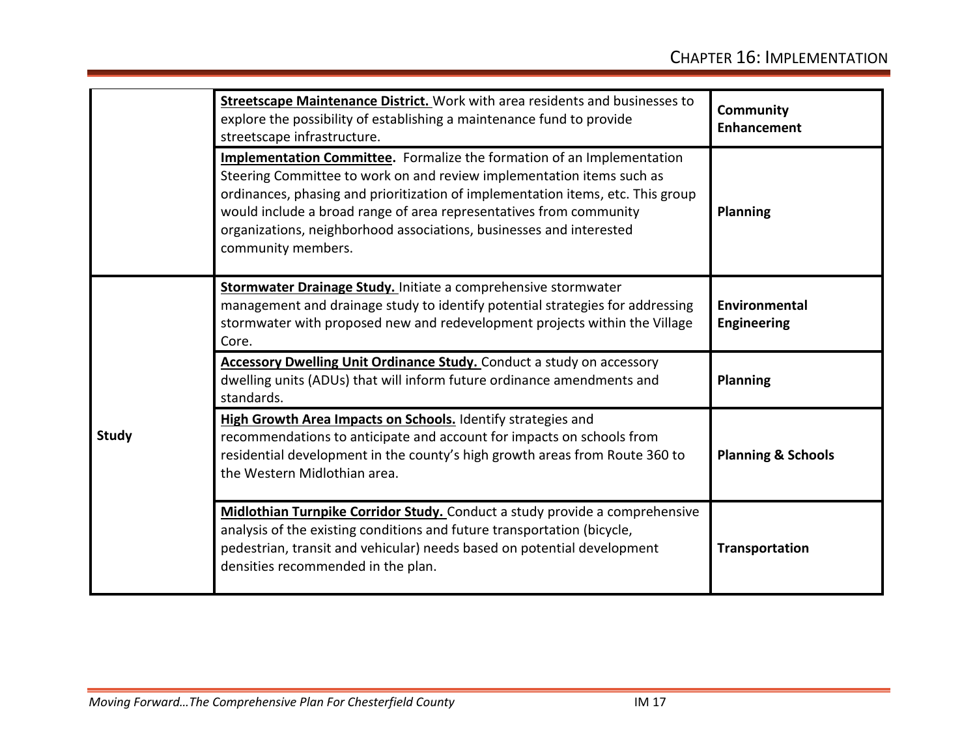|              | <b>Streetscape Maintenance District.</b> Work with area residents and businesses to<br>explore the possibility of establishing a maintenance fund to provide<br>streetscape infrastructure.                                                                                                                                                                                                                  | <b>Community</b><br><b>Enhancement</b> |
|--------------|--------------------------------------------------------------------------------------------------------------------------------------------------------------------------------------------------------------------------------------------------------------------------------------------------------------------------------------------------------------------------------------------------------------|----------------------------------------|
|              | <b>Implementation Committee.</b> Formalize the formation of an Implementation<br>Steering Committee to work on and review implementation items such as<br>ordinances, phasing and prioritization of implementation items, etc. This group<br>would include a broad range of area representatives from community<br>organizations, neighborhood associations, businesses and interested<br>community members. | <b>Planning</b>                        |
| <b>Study</b> | Stormwater Drainage Study. Initiate a comprehensive stormwater<br>management and drainage study to identify potential strategies for addressing<br>stormwater with proposed new and redevelopment projects within the Village<br>Core.                                                                                                                                                                       | <b>Environmental</b><br>Engineering    |
|              | <b>Accessory Dwelling Unit Ordinance Study.</b> Conduct a study on accessory<br>dwelling units (ADUs) that will inform future ordinance amendments and<br>standards.                                                                                                                                                                                                                                         | <b>Planning</b>                        |
|              | High Growth Area Impacts on Schools. Identify strategies and<br>recommendations to anticipate and account for impacts on schools from<br>residential development in the county's high growth areas from Route 360 to<br>the Western Midlothian area.                                                                                                                                                         | <b>Planning &amp; Schools</b>          |
|              | Midlothian Turnpike Corridor Study. Conduct a study provide a comprehensive<br>analysis of the existing conditions and future transportation (bicycle,<br>pedestrian, transit and vehicular) needs based on potential development<br>densities recommended in the plan.                                                                                                                                      | Transportation                         |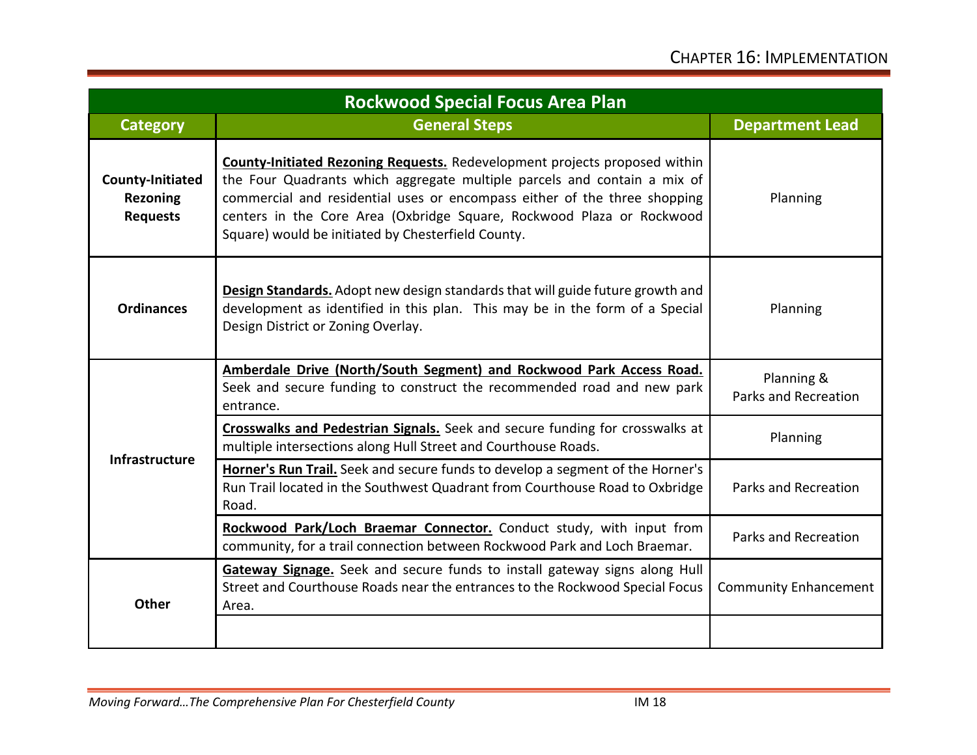| <b>Rockwood Special Focus Area Plan</b>                       |                                                                                                                                                                                                                                                                                                                                                                           |                                    |  |
|---------------------------------------------------------------|---------------------------------------------------------------------------------------------------------------------------------------------------------------------------------------------------------------------------------------------------------------------------------------------------------------------------------------------------------------------------|------------------------------------|--|
| <b>Category</b>                                               | <b>General Steps</b>                                                                                                                                                                                                                                                                                                                                                      | <b>Department Lead</b>             |  |
| <b>County-Initiated</b><br><b>Rezoning</b><br><b>Requests</b> | <b>County-Initiated Rezoning Requests.</b> Redevelopment projects proposed within<br>the Four Quadrants which aggregate multiple parcels and contain a mix of<br>commercial and residential uses or encompass either of the three shopping<br>centers in the Core Area (Oxbridge Square, Rockwood Plaza or Rockwood<br>Square) would be initiated by Chesterfield County. | Planning                           |  |
| <b>Ordinances</b>                                             | <b>Design Standards.</b> Adopt new design standards that will guide future growth and<br>development as identified in this plan. This may be in the form of a Special<br>Design District or Zoning Overlay.                                                                                                                                                               | Planning                           |  |
| Infrastructure                                                | Amberdale Drive (North/South Segment) and Rockwood Park Access Road.<br>Seek and secure funding to construct the recommended road and new park<br>entrance.                                                                                                                                                                                                               | Planning &<br>Parks and Recreation |  |
|                                                               | Crosswalks and Pedestrian Signals. Seek and secure funding for crosswalks at<br>multiple intersections along Hull Street and Courthouse Roads.                                                                                                                                                                                                                            | Planning                           |  |
|                                                               | Horner's Run Trail. Seek and secure funds to develop a segment of the Horner's<br>Run Trail located in the Southwest Quadrant from Courthouse Road to Oxbridge<br>Road.                                                                                                                                                                                                   | Parks and Recreation               |  |
|                                                               | Rockwood Park/Loch Braemar Connector. Conduct study, with input from<br>community, for a trail connection between Rockwood Park and Loch Braemar.                                                                                                                                                                                                                         | Parks and Recreation               |  |
| <b>Other</b>                                                  | Gateway Signage. Seek and secure funds to install gateway signs along Hull<br>Street and Courthouse Roads near the entrances to the Rockwood Special Focus<br>Area.                                                                                                                                                                                                       | <b>Community Enhancement</b>       |  |
|                                                               |                                                                                                                                                                                                                                                                                                                                                                           |                                    |  |